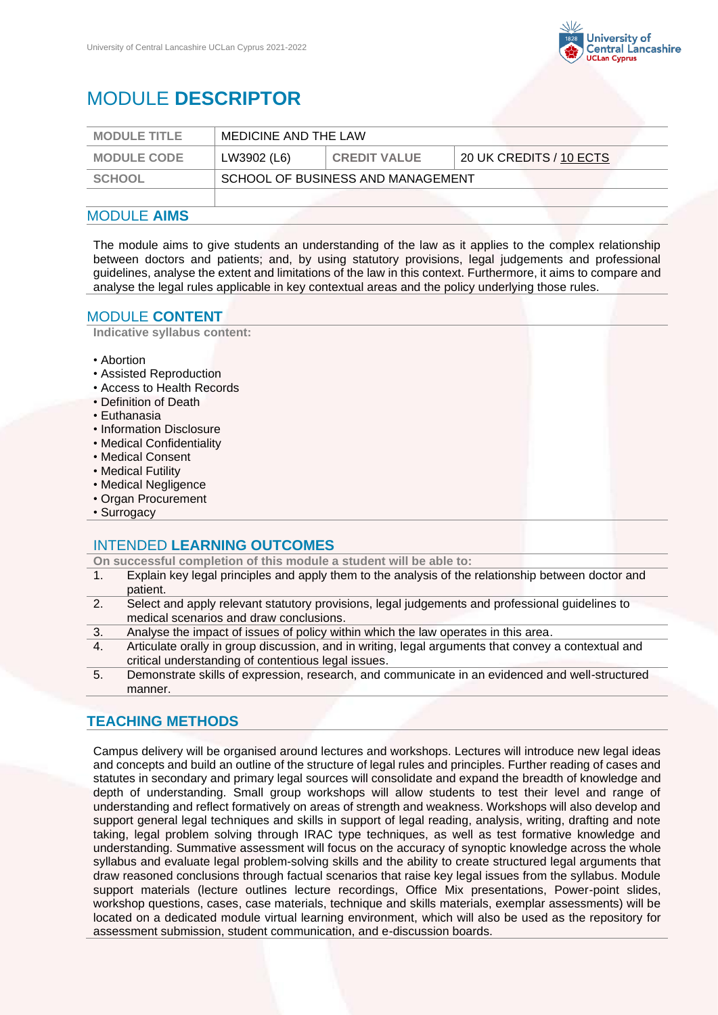

# MODULE **DESCRIPTOR**

| <b>MODULE TITLE</b> | MEDICINE AND THE LAW              |                     |                         |
|---------------------|-----------------------------------|---------------------|-------------------------|
| <b>MODULE CODE</b>  | LW3902 (L6)                       | <b>CREDIT VALUE</b> | 20 UK CREDITS / 10 ECTS |
| SCHOOL              | SCHOOL OF BUSINESS AND MANAGEMENT |                     |                         |
|                     |                                   |                     |                         |

#### MODULE **AIMS**

The module aims to give students an understanding of the law as it applies to the complex relationship between doctors and patients; and, by using statutory provisions, legal judgements and professional guidelines, analyse the extent and limitations of the law in this context. Furthermore, it aims to compare and analyse the legal rules applicable in key contextual areas and the policy underlying those rules.

#### MODULE **CONTENT**

**Indicative syllabus content:**

- Abortion
- Assisted Reproduction
- Access to Health Records
- Definition of Death
- Euthanasia
- Information Disclosure
- Medical Confidentiality
- Medical Consent
- Medical Futility
- Medical Negligence
- Organ Procurement
- Surrogacy

#### INTENDED **LEARNING OUTCOMES**

**On successful completion of this module a student will be able to:**

- 1. Explain key legal principles and apply them to the analysis of the relationship between doctor and patient.
- 2. Select and apply relevant statutory provisions, legal judgements and professional guidelines to medical scenarios and draw conclusions.
- 3. Analyse the impact of issues of policy within which the law operates in this area.
- 4. Articulate orally in group discussion, and in writing, legal arguments that convey a contextual and critical understanding of contentious legal issues.
- 5. Demonstrate skills of expression, research, and communicate in an evidenced and well-structured manner.

### **TEACHING METHODS**

Campus delivery will be organised around lectures and workshops. Lectures will introduce new legal ideas and concepts and build an outline of the structure of legal rules and principles. Further reading of cases and statutes in secondary and primary legal sources will consolidate and expand the breadth of knowledge and depth of understanding. Small group workshops will allow students to test their level and range of understanding and reflect formatively on areas of strength and weakness. Workshops will also develop and support general legal techniques and skills in support of legal reading, analysis, writing, drafting and note taking, legal problem solving through IRAC type techniques, as well as test formative knowledge and understanding. Summative assessment will focus on the accuracy of synoptic knowledge across the whole syllabus and evaluate legal problem-solving skills and the ability to create structured legal arguments that draw reasoned conclusions through factual scenarios that raise key legal issues from the syllabus. Module support materials (lecture outlines lecture recordings, Office Mix presentations, Power-point slides, workshop questions, cases, case materials, technique and skills materials, exemplar assessments) will be located on a dedicated module virtual learning environment, which will also be used as the repository for assessment submission, student communication, and e-discussion boards.